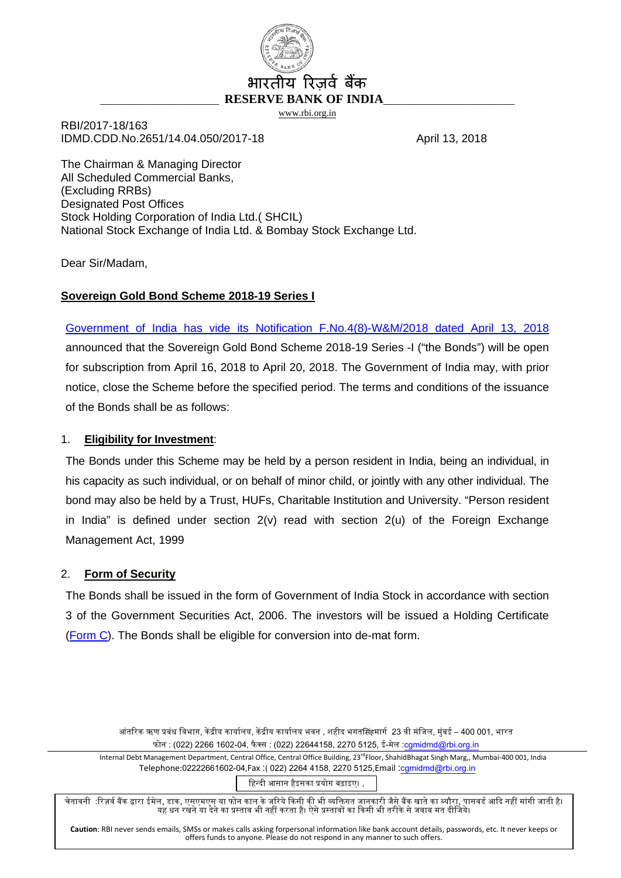

# य रिज़र्व बैंक \_\_\_\_\_\_\_\_\_\_\_\_\_\_\_\_\_\_\_\_ **RESERVE BANK OF INDIA**\_\_\_\_\_\_\_\_\_\_\_\_\_\_\_\_\_\_\_\_\_\_

[www.rbi.org.in](http://www.rbi.org.in/)

RBI/2017-18/163 IDMD.CDD.No.2651/14.04.050/2017-18 April 13, 2018

The Chairman & Managing Director All Scheduled Commercial Banks, (Excluding RRBs) Designated Post Offices Stock Holding Corporation of India Ltd.( SHCIL) National Stock Exchange of India Ltd. & Bombay Stock Exchange Ltd.

Dear Sir/Madam,

# **Sovereign Gold Bond Scheme 2018-19 Series I**

[Government of India has](http://rbidocs.rbi.org.in/rdocs/content/pdfs/SGBVIIIGN130418_AN.pdf) vide its Notification F.No.4(8)-W&M/2018 dated April 13, 2018 announced that the Sovereign Gold Bond Scheme 2018-19 Series -I ("the Bonds") will be open for subscription from April 16, 2018 to April 20, 2018. The Government of India may, with prior notice, close the Scheme before the specified period. The terms and conditions of the issuance of the Bonds shall be as follows:

# 1. **Eligibility for Investment**:

The Bonds under this Scheme may be held by a person resident in India, being an individual, in his capacity as such individual, or on behalf of minor child, or jointly with any other individual. The bond may also be held by a Trust, HUFs, Charitable Institution and University. "Person resident in India" is defined under section 2(v) read with section 2(u) of the Foreign Exchange Management Act, 1999

# 2. **Form of Security**

The Bonds shall be issued in the form of Government of India Stock in accordance with section 3 of the Government Securities Act, 2006. The investors will be issued a Holding Certificate [\(Form C\)](http://rbidocs.rbi.org.in/rdocs/content/pdfs/HCFC13042018_C.pdf). The Bonds shall be eligible for conversion into de-mat form.

> आंतरिक ऋण प्रबंध विभाग, केंद्रीय कार्यालय, केंद्रीय कार्यालय भवन , शहीद भगतसिंहमार्ग 23 वी मंजिल, मंबई – 400 001, भारत फोन : (022) 2266 1602-04, फैक्स : (022) 22644158, 2270 5125, ई-मेल :[cgmidmd@rbi.org.in](mailto:cgmidmd@rbi.org.in)

Internal Debt Management Department, Central Office, Central Office Building, 23<sup>rd</sup>Floor, ShahidBhagat Singh Marg,, Mumbai-400 001, India Telephone:02222661602-04,Fax :( 022) 2264 4158, 2270 5125,Email :[cgmidmd@rbi.org.in](mailto:cgmidmd@rbi.org.in)

िहन्दी आसान हैइसका �योग बढ़ाइए। ,

चेतावनी :रिज़र्व बैंक द्वारा ईमेल, डाक, एसएमएस या फोन काल के जरिये किसी की भी व्यक्तिगत जानकारी जैसे बैंक खाते का ब्यौरा, पासवर्ड आदि नहीं मांगी जाती है। यह धन रखने या देने का प्रस्ताव भी नहीं करता है। ऐसे प्रस्तावों का किसी भी तरीके से जवाब मत दीजिये।

**Caution**: RBI never sends emails, SMSs or makes calls asking forpersonal information like bank account details, passwords, etc. It never keeps or offers funds to anyone. Please do not respond in any manner to such offers.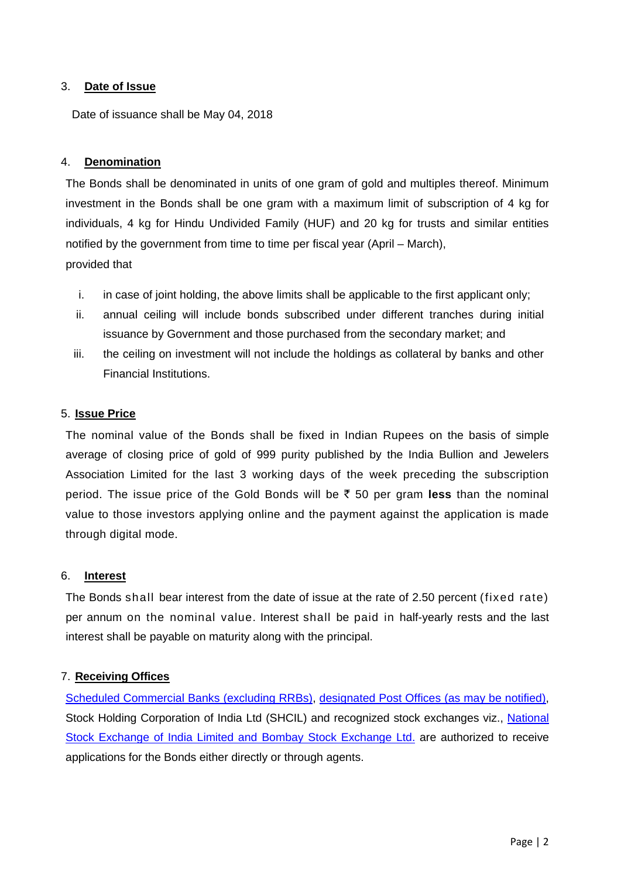# 3. **Date of Issue**

Date of issuance shall be May 04, 2018

# 4. **Denomination**

The Bonds shall be denominated in units of one gram of gold and multiples thereof. Minimum investment in the Bonds shall be one gram with a maximum limit of subscription of 4 kg for individuals, 4 kg for Hindu Undivided Family (HUF) and 20 kg for trusts and similar entities notified by the government from time to time per fiscal year (April – March), provided that

- i. in case of joint holding, the above limits shall be applicable to the first applicant only;
- ii. annual ceiling will include bonds subscribed under different tranches during initial issuance by Government and those purchased from the secondary market; and
- iii. the ceiling on investment will not include the holdings as collateral by banks and other Financial Institutions.

### 5. **Issue Price**

The nominal value of the Bonds shall be fixed in Indian Rupees on the basis of simple average of closing price of gold of 999 purity published by the India Bullion and Jewelers Association Limited for the last 3 working days of the week preceding the subscription period. The issue price of the Gold Bonds will be  $\bar{\tau}$  50 per gram less than the nominal value to those investors applying online and the payment against the application is made through digital mode.

#### 6. **Interest**

The Bonds shall bear interest from the date of issue at the rate of 2.50 percent (fixed rate) per annum on the nominal value. Interest shall be paid in half-yearly rests and the last interest shall be payable on maturity along with the principal.

# 7. **Receiving Offices**

[Scheduled Commercial Banks \(excluding RRBs\),](http://rbidocs.rbi.org.in/rdocs/content/pdfs/BANKLIST13042018_1.pdf) [designated Post Offices](http://rbidocs.rbi.org.in/rdocs/content/pdfs/POSTOFFICE13042018_2.pdf) (as may be notified), Stock Holding Corporation of India Ltd (SHCIL) and recognized stock exchanges viz., [National](http://rbidocs.rbi.org.in/rdocs/content/pdfs/STOCK13042018_3.pdf)  [Stock Exchange of India Limited and Bombay Stock Exchange](http://rbidocs.rbi.org.in/rdocs/content/pdfs/STOCK13042018_3.pdf) Ltd. are authorized to receive applications for the Bonds either directly or through agents.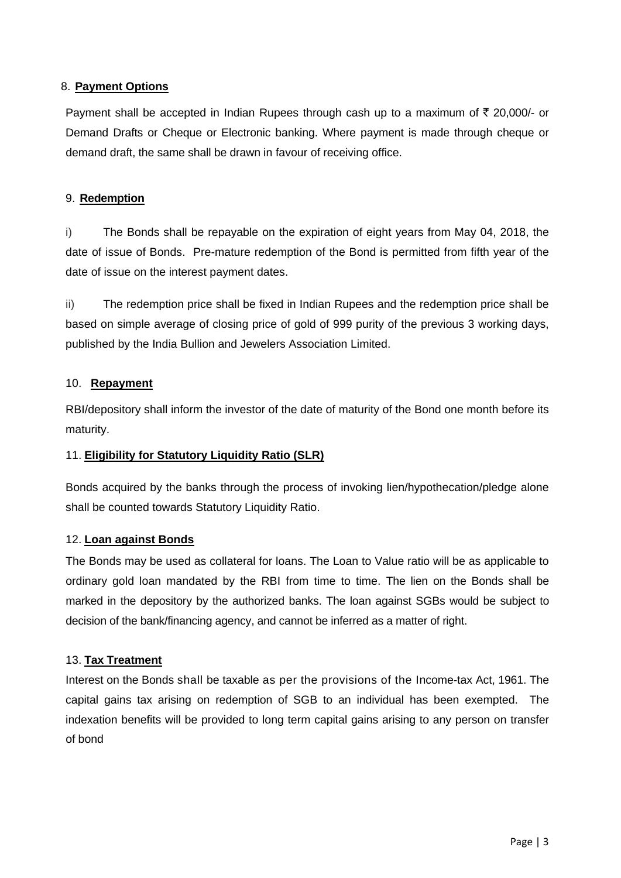# 8. **Payment Options**

Payment shall be accepted in Indian Rupees through cash up to a maximum of  $\bar{\tau}$  20,000/- or Demand Drafts or Cheque or Electronic banking. Where payment is made through cheque or demand draft, the same shall be drawn in favour of receiving office.

# 9. **Redemption**

i) The Bonds shall be repayable on the expiration of eight years from May 04, 2018, the date of issue of Bonds. Pre-mature redemption of the Bond is permitted from fifth year of the date of issue on the interest payment dates.

ii) The redemption price shall be fixed in Indian Rupees and the redemption price shall be based on simple average of closing price of gold of 999 purity of the previous 3 working days, published by the India Bullion and Jewelers Association Limited.

# 10. **Repayment**

RBI/depository shall inform the investor of the date of maturity of the Bond one month before its maturity.

# 11. **Eligibility for Statutory Liquidity Ratio (SLR)**

Bonds acquired by the banks through the process of invoking lien/hypothecation/pledge alone shall be counted towards Statutory Liquidity Ratio.

# 12. **Loan against Bonds**

The Bonds may be used as collateral for loans. The Loan to Value ratio will be as applicable to ordinary gold loan mandated by the RBI from time to time. The lien on the Bonds shall be marked in the depository by the authorized banks. The loan against SGBs would be subject to decision of the bank/financing agency, and cannot be inferred as a matter of right.

# 13. **Tax Treatment**

Interest on the Bonds shall be taxable as per the provisions of the Income-tax Act, 1961. The capital gains tax arising on redemption of SGB to an individual has been exempted. The indexation benefits will be provided to long term capital gains arising to any person on transfer of bond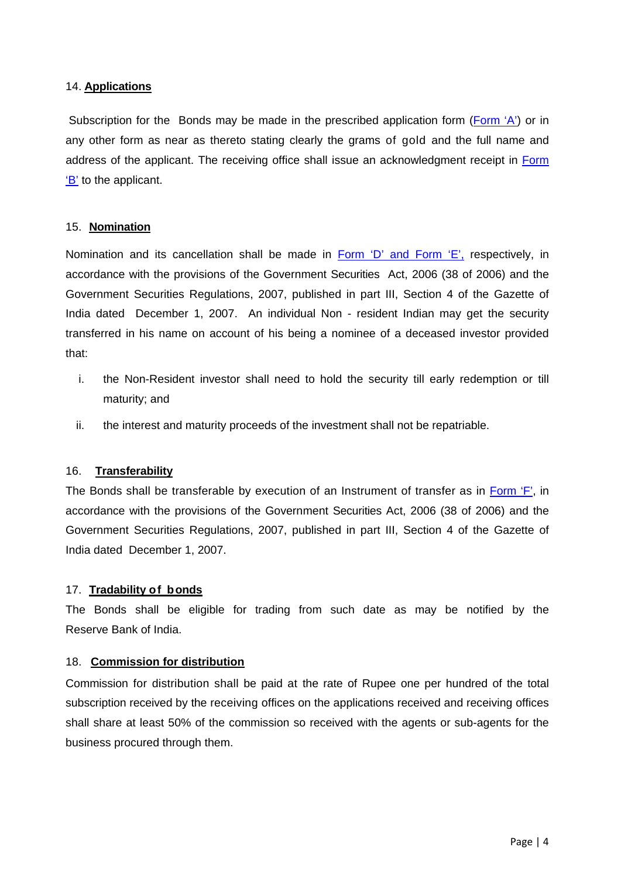### 14. **Applications**

Subscription for the Bonds may be made in the prescribed application form [\(Form 'A'\)](http://rbidocs.rbi.org.in/rdocs/content/pdfs/HCFC13042018_A.pdf) or in any other form as near as thereto stating clearly the grams of gold and the full name and address of the applicant. The receiving office shall issue an acknowledgment receipt in Form ['B'](http://rbidocs.rbi.org.in/rdocs/content/pdfs/HCFC13042018_B.pdf) to the applicant.

# 15. **Nomination**

Nomination and its cancellation shall be made in Form  $D'$  and Form  $E'$ , respectively, in accordance with the provisions of the Government Securities Act, 2006 (38 of 2006) and the Government Securities Regulations, 2007, published in part III, Section 4 of the Gazette of India dated December 1, 2007. An individual Non - resident Indian may get the security transferred in his name on account of his being a nominee of a deceased investor provided that:

- i. the Non-Resident investor shall need to hold the security till early redemption or till maturity; and
- ii. the interest and maturity proceeds of the investment shall not be repatriable.

# 16. **Transferability**

The Bonds shall be transferable by execution of an Instrument of transfer as in [Form 'F',](http://rbidocs.rbi.org.in/rdocs/content/pdfs/HCFC13042018_F.pdf) in accordance with the provisions of the Government Securities Act, 2006 (38 of 2006) and the Government Securities Regulations, 2007, published in part III, Section 4 of the Gazette of India dated December 1, 2007.

# 17. **Tradability of bonds**

The Bonds shall be eligible for trading from such date as may be notified by the Reserve Bank of India.

# 18. **Commission for distribution**

Commission for distribution shall be paid at the rate of Rupee one per hundred of the total subscription received by the receiving offices on the applications received and receiving offices shall share at least 50% of the commission so received with the agents or sub-agents for the business procured through them.